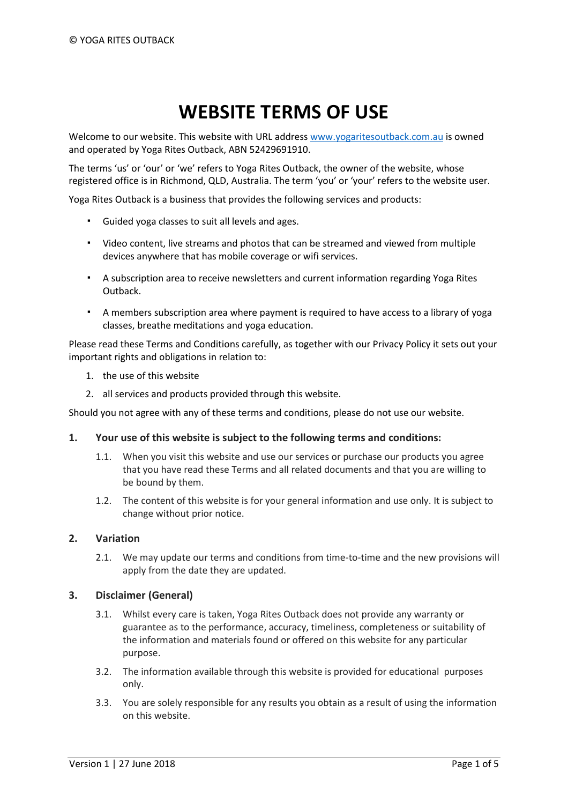# **WEBSITE TERMS OF USE**

Welcome to our website. This website with URL address [www.yogaritesoutback.com.au](http://www.yogaritesoutback.com.au/) is owned and operated by Yoga Rites Outback, ABN 52429691910.

The terms 'us' or 'our' or 'we' refers to Yoga Rites Outback, the owner of the website, whose registered office is in Richmond, QLD, Australia. The term 'you' or 'your' refers to the website user.

Yoga Rites Outback is a business that provides the following services and products:

- Guided yoga classes to suit all levels and ages.
- Video content, live streams and photos that can be streamed and viewed from multiple devices anywhere that has mobile coverage or wifi services.
- A subscription area to receive newsletters and current information regarding Yoga Rites Outback.
- A members subscription area where payment is required to have access to a library of yoga classes, breathe meditations and yoga education.

Please read these Terms and Conditions carefully, as together with our Privacy Policy it sets out your important rights and obligations in relation to:

- 1. the use of this website
- 2. all services and products provided through this website.

Should you not agree with any of these terms and conditions, please do not use our website.

#### **1. Your use of this website is subject to the following terms and conditions:**

- 1.1. When you visit this website and use our services or purchase our products you agree that you have read these Terms and all related documents and that you are willing to be bound by them.
- 1.2. The content of this website is for your general information and use only. It is subject to change without prior notice.

#### **2. Variation**

2.1. We may update our terms and conditions from time-to-time and the new provisions will apply from the date they are updated.

#### **3. Disclaimer (General)**

- 3.1. Whilst every care is taken, Yoga Rites Outback does not provide any warranty or guarantee as to the performance, accuracy, timeliness, completeness or suitability of the information and materials found or offered on this website for any particular purpose.
- 3.2. The information available through this website is provided for educational purposes only.
- 3.3. You are solely responsible for any results you obtain as a result of using the information on this website.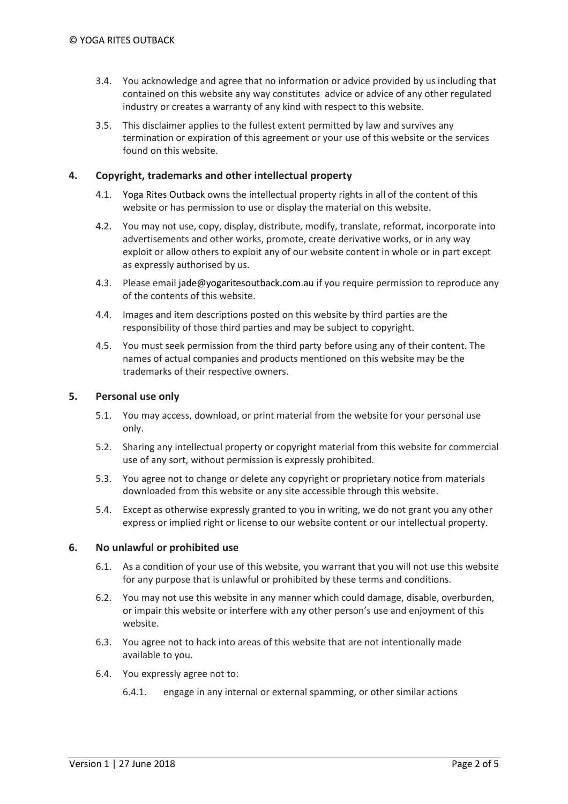- 3.4. You acknowledge and agree that no information or advice provided by us including that contained on this website any way constitutes advice or advice of any other regulated industry or creates a warranty of any kind with respect to this website.
- 3.5. This disclaimer applies to the fullest extent permitted by law and survives any termination or expiration of this agreement or your use of this website or the services found on this website.

# **4. Copyright, trademarks and other intellectual property**

- 4.1. Yoga Rites Outback owns the intellectual property rights in all of the content of this website or has permission to use or display the material on this website.
- 4.2. You may not use, copy, display, distribute, modify, translate, reformat, incorporate into advertisements and other works, promote, create derivative works, or in any way exploit or allow others to exploit any of our website content in whole or in part except as expressly authorised by us.
- 4.3. Please email jade@yogaritesoutback.com.au if you require permission to reproduce any of the contents of this website.
- 4.4. Images and item descriptions posted on this website by third parties are the responsibility of those third parties and may be subject to copyright.
- 4.5. You must seek permission from the third party before using any of their content. The names of actual companies and products mentioned on this website may be the trademarks of their respective owners.

#### **5. Personal use only**

- 5.1. You may access, download, or print material from the website for your personal use only.
- 5.2. Sharing any intellectual property or copyright material from this website for commercial use of any sort, without permission is expressly prohibited.
- 5.3. You agree not to change or delete any copyright or proprietary notice from materials downloaded from this website or any site accessible through this website.
- 5.4. Except as otherwise expressly granted to you in writing, we do not grant you any other express or implied right or license to our website content or our intellectual property.

#### **6. No unlawful or prohibited use**

- 6.1. As a condition of your use of this website, you warrant that you will not use this website for any purpose that is unlawful or prohibited by these terms and conditions.
- 6.2. You may not use this website in any manner which could damage, disable, overburden, or impair this website or interfere with any other person's use and enjoyment of this website.
- 6.3. You agree not to hack into areas of this website that are not intentionally made available to you.
- 6.4. You expressly agree not to:
	- 6.4.1. engage in any internal or external spamming, or other similar actions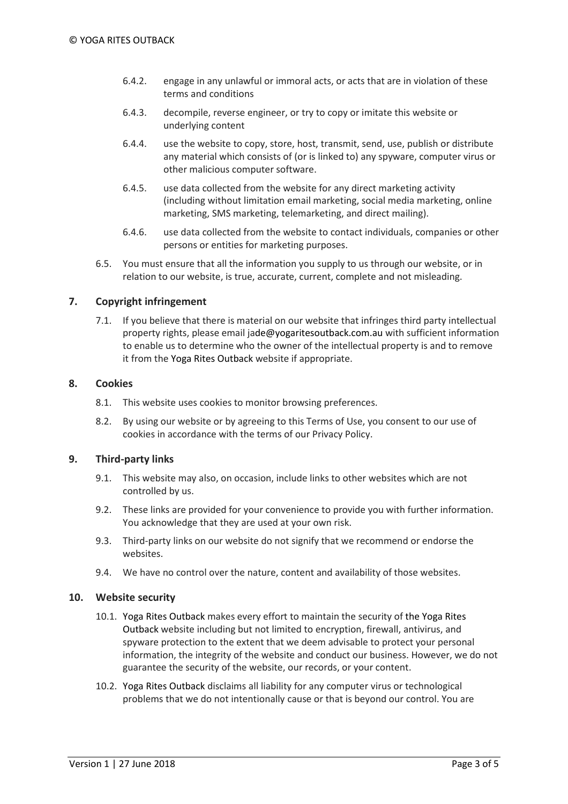- 6.4.2. engage in any unlawful or immoral acts, or acts that are in violation of these terms and conditions
- 6.4.3. decompile, reverse engineer, or try to copy or imitate this website or underlying content
- 6.4.4. use the website to copy, store, host, transmit, send, use, publish or distribute any material which consists of (or is linked to) any spyware, computer virus or other malicious computer software.
- 6.4.5. use data collected from the website for any direct marketing activity (including without limitation email marketing, social media marketing, online marketing, SMS marketing, telemarketing, and direct mailing).
- 6.4.6. use data collected from the website to contact individuals, companies or other persons or entities for marketing purposes.
- 6.5. You must ensure that all the information you supply to us through our website, or in relation to our website, is true, accurate, current, complete and not misleading.

# **7. Copyright infringement**

7.1. If you believe that there is material on our website that infringes third party intellectual property rights, please email jade@yogaritesoutback.com.au with sufficient information to enable us to determine who the owner of the intellectual property is and to remove it from the Yoga Rites Outback website if appropriate.

#### **8. Cookies**

- 8.1. This website uses cookies to monitor browsing preferences.
- 8.2. By using our website or by agreeing to this Terms of Use, you consent to our use of cookies in accordance with the terms of our Privacy Policy.

#### **9. Third-party links**

- 9.1. This website may also, on occasion, include links to other websites which are not controlled by us.
- 9.2. These links are provided for your convenience to provide you with further information. You acknowledge that they are used at your own risk.
- 9.3. Third-party links on our website do not signify that we recommend or endorse the websites.
- 9.4. We have no control over the nature, content and availability of those websites.

#### **10. Website security**

- 10.1. Yoga Rites Outback makes every effort to maintain the security of the Yoga Rites Outback website including but not limited to encryption, firewall, antivirus, and spyware protection to the extent that we deem advisable to protect your personal information, the integrity of the website and conduct our business. However, we do not guarantee the security of the website, our records, or your content.
- 10.2. Yoga Rites Outback disclaims all liability for any computer virus or technological problems that we do not intentionally cause or that is beyond our control. You are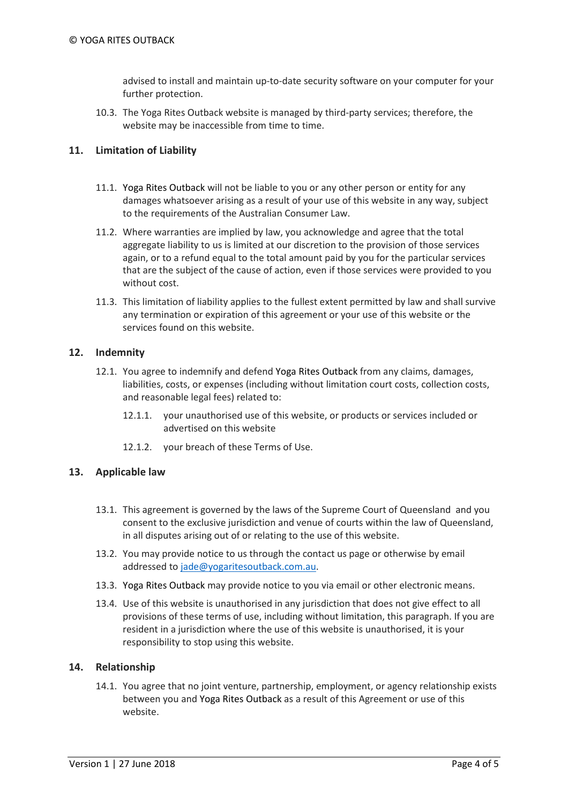advised to install and maintain up-to-date security software on your computer for your further protection.

10.3. The Yoga Rites Outback website is managed by third-party services; therefore, the website may be inaccessible from time to time.

#### **11. Limitation of Liability**

- 11.1. Yoga Rites Outback will not be liable to you or any other person or entity for any damages whatsoever arising as a result of your use of this website in any way, subject to the requirements of the Australian Consumer Law.
- 11.2. Where warranties are implied by law, you acknowledge and agree that the total aggregate liability to us is limited at our discretion to the provision of those services again, or to a refund equal to the total amount paid by you for the particular services that are the subject of the cause of action, even if those services were provided to you without cost.
- 11.3. This limitation of liability applies to the fullest extent permitted by law and shall survive any termination or expiration of this agreement or your use of this website or the services found on this website.

# **12. Indemnity**

- 12.1. You agree to indemnify and defend Yoga Rites Outback from any claims, damages, liabilities, costs, or expenses (including without limitation court costs, collection costs, and reasonable legal fees) related to:
	- 12.1.1. your unauthorised use of this website, or products or services included or advertised on this website
	- 12.1.2. your breach of these Terms of Use.

#### **13. Applicable law**

- 13.1. This agreement is governed by the laws of the Supreme Court of Queensland and you consent to the exclusive jurisdiction and venue of courts within the law of Queensland, in all disputes arising out of or relating to the use of this website.
- 13.2. You may provide notice to us through the contact us page or otherwise by email addressed to [jade@yogaritesoutback.com.au.](mailto:jade@yogaritesoutback.com.au)
- 13.3. Yoga Rites Outback may provide notice to you via email or other electronic means.
- 13.4. Use of this website is unauthorised in any jurisdiction that does not give effect to all provisions of these terms of use, including without limitation, this paragraph. If you are resident in a jurisdiction where the use of this website is unauthorised, it is your responsibility to stop using this website.

#### **14. Relationship**

14.1. You agree that no joint venture, partnership, employment, or agency relationship exists between you and Yoga Rites Outback as a result of this Agreement or use of this website.